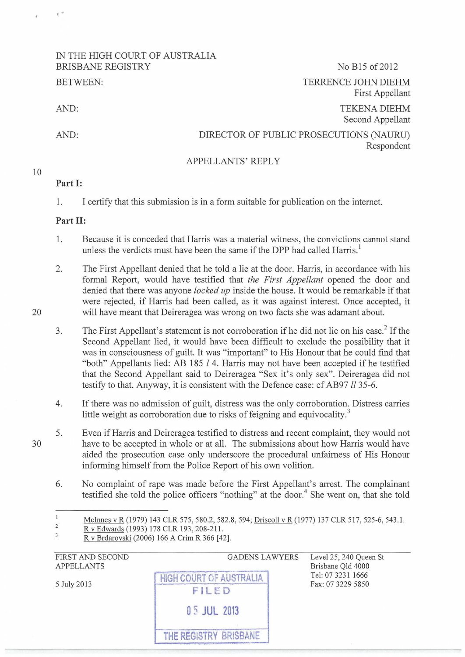## IN THE HIGH COURT OF AUSTRALIA BRISBANE REGISTRY No B15 of 2012 BETWEEN:

AND:

••

AND:

# TERRENCE JOHN DIEHM First Appellant TEKENA DIEHM Second Appellant

Respondent

DIRECTOR OF PUBLIC PROSECUTIONS (NAURU)

APPELLANTS' REPLY

#### 10

## **Part 1:**

1. I certify that this submission is in a form suitable for publication on the internet.

### **Part II:**

- 1. Because it is conceded that Harris was a material witness, the convictions cannot stand unless the verdicts must have been the same if the DPP had called Harris. $^1$
- 2. The First Appellant denied that he told a lie at the door. Harris, in accordance with his formal Report, would have testified that *the First Appellant* opened the door and denied that there was anyone *locked up* inside the house. It would be remarkable if that were rejected, if Harris had been called, as it was against interest. Once accepted, it will have meant that Deireragea was wrong on two facts she was adamant about.
- 3. The First Appellant's statement is not corroboration if he did not lie on his case? If the Second Appellant lied, it would have been difficult to exclude the possibility that it was in consciousness of guilt. It was "important" to His Honour that he could find that "both" Appellants lied: AB 185 l 4. Harris may not have been accepted if he testified that the Second Appellant said to Deireragea "Sex it's only sex". Deireragea did not testify to that. Anyway, it is consistent with the Defence case: cf AB97 *!!35-6.*
- 4. If there was no admission of guilt, distress was the only corroboration. Distress carries little weight as corroboration due to risks of feigning and equivocality.<sup>3</sup>
- 5. Even if Harris and Deireragea testified to distress and recent complaint, they would not have to be accepted in whole or at all. The submissions about how Harris would have aided the prosecution case only underscore the procedural unfairness of His Honour informing himself from the Police Report of his own volition.
	- 6. No complaint of rape was made before the First Appellant's arrest. The complainant testified she told the police officers "nothing" at the door.<sup>4</sup> She went on, that she told

| FIRST AND SECOND<br><b>APPELLANTS</b> | <b>GADENS LAWYERS</b>  | Level 25, 240 Queen St<br>Brisbane Qld 4000 |
|---------------------------------------|------------------------|---------------------------------------------|
| 5 July 2013                           | COURT OF AUST<br>FILED | Tel: 07 3231 1666<br>Fax: 07 3229 5850      |
|                                       | 05 JUL 2013            |                                             |
|                                       |                        |                                             |

30

20

 $\,1$ McInnes v R (1979) 143 CLR 575, 580.2, 582.8, 594; Driscoll v R (1977) 137 CLR 517, 525-6, 543.1. 2

R v Edwards (1993) 178 CLR 193, 208-211.

 $\overline{3}$ R v Brdarovski (2006) 166 A Crim R 366 [42].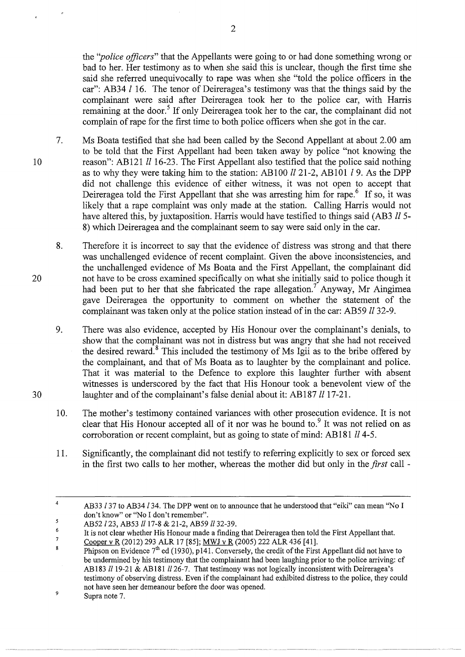the *''police officers"* that the Appellants were going to or had done something wrong or bad to her. Her testimony as to when she said this is unclear, though the first time she said she referred unequivocally to rape was when she "told the police officers in the car": AB34  *16. The tenor of Deireragea's testimony was that the things said by the* complainant were said after Deireragea took her to the police car, with Harris remaining at the door.<sup>5</sup> If only Deireragea took her to the car, the complainant did not complain of rape for the first time to both police officers when she got in the car.

- 10 7. Ms Boata testified that she had been called by the Second Appellant at about 2.00 am to be told that the First Appellant had been taken away by police "not knowing the reason": AB121 *ll* 16-23. The First Appellant also testified that the police said nothing as to why they were taking him to the station: AB100  $ll$  21-2, AB101  $l$  9. As the DPP did not challenge this evidence of either witness, it was not open to accept that Deireragea told the First Appellant that she was arresting him for rape.<sup>6</sup> If so, it was likely that a rape complaint was only made at the station. Calling Harris would not have altered this, by juxtaposition. Harris would have testified to things said (AB3 *ll* 5- 8) which Deireragea and the complainant seem to say were said only in the car.
	- 8. Therefore it is incorrect to say that the evidence of distress was strong and that there was unchallenged evidence of recent complaint. Given the above inconsistencies, and the unchallenged evidence of Ms Boata and the First Appellant, the complainant did not have to be cross examined specifically on what she initially said to police though it had been put to her that she fabricated the rape allegation.<sup>7</sup> Anyway, Mr Aingimea gave Deireragea the opportunity to comment on whether the statement of the complainant was taken only at the police station instead of in the car: AB59 *ll* 32-9.
	- 9. There was also evidence, accepted by His Honour over the complainant's denials, to show that the complainant was not in distress but was angry that she had not received the desired reward.<sup>8</sup> This included the testimony of Ms Igii as to the bribe offered by the complainant, and that of Ms Boata as to laughter by the complainant and police. That it was material to the Defence to explore this laughter further with absent witnesses is underscored by the fact that His Honour took a benevolent view of the laughter and of the complainant's false denial about it: AB187  $ll$  17-21.
	- 10. The mother's testimony contained variances with other prosecution evidence. It is not clear that His Honour accepted all of it nor was he bound to.<sup>9</sup> It was not relied on as corroboration or recent complaint, but as going to state of mind: AB181  $ll$  4-5.
	- 11. Significantly, the complainant did not testify to referring explicitly to sex or forced sex in the first two calls to her mother, whereas the mother did but only in the *first* call -

20

30

<sup>4</sup>  AB33 /37 to AB34/34. The DPP went on to announce that he understood that "eiki" can mean "No I don't know" or "No I don't remember".

<sup>5</sup> AB52 *l* 23, AB53 *ll* 17-8 & 21-2, AB59 *ll* 32-39.

<sup>6</sup>  7 It is not clear whether His Honour made a fmding that Deireragea then told the First Appellant that.

Cooper v R (2012) 293 ALR 17 [85]; MWJ v R (2005) 222 ALR436 [41].

<sup>8</sup> Phipson on Evidence  $7<sup>th</sup>$  ed (1930), p141. Conversely, the credit of the First Appellant did not have to be undermined by his testimony that the complainant had been laughing prior to the police arriving: cf AB183  $ll$  19-21 & AB181  $ll$  26-7. That testimony was not logically inconsistent with Deireragea's testimony of observing distress. Even if the complainant had exhibited distress to the police, they could not have seen her demeanour before the door was opened. 9

Supra note 7.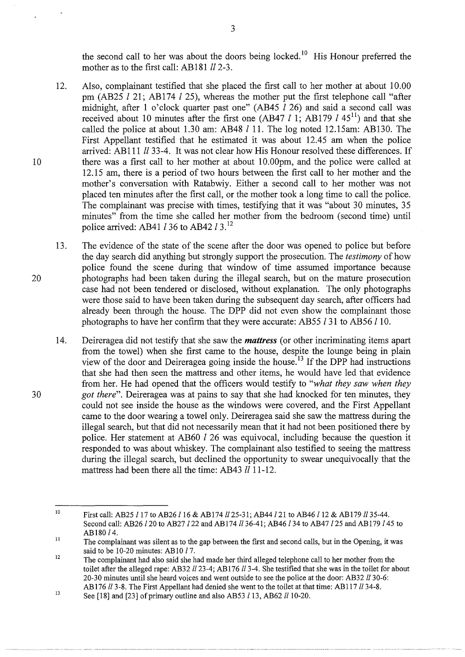the second call to her was about the doors being locked.<sup>10</sup> His Honour preferred the mother as to the first call: AB181  $ll$  2-3.

12. Also, complainant testified that she placed the first call to her mother at about 10.00 pm (AB25  $l$  21; AB174  $l$  25), whereas the mother put the first telephone call "after midnight, after 1 o'clock quarter past one" (AB45  $\bar{l}$  26) and said a second call was received about 10 minutes after the first one (AB47 *l* 1; AB179 *l* 45<sup>11</sup>) and that she called the police at about 1.30 am: AB48  $l$  11. The log noted 12.15am: AB130. The First Appellant testified that he estimated it was about 12.45 am when the police arrived: AB111 *!!33-4.* It was not clear how His Honour resolved these differences. If there was a first call to her mother at about 10.00pm, and the police were called at 12.15 am, there is a period of two hours between the first call to her mother and the mother's conversation with Ratabwiy. Either a second call to her mother was not placed ten minutes after the first call, or the mother took a long time to call the police. The complainant was precise with times, testifying that it was "about 30 minutes, 35 minutes" from the time she called her mother from the bedroom (second time) until police arrived: AB41  $l$  36 to AB42  $l$  3.<sup>12</sup>

13. The evidence of the state of the scene after the door was opened to police but before the day search did anything but strongly support the prosecution. The *testimony* of how police found the scene during that window of time assumed importance because photographs had been taken during the illegal search, but on the mature prosecution case had not been tendered or disclosed, without explanation. The only photographs were those said to have been taken during the subsequent day search, after officers had already been through the house. The DPP did not even show the complainant those photographs to have her confirm that they were accurate: AB55 l 31 to AB56 /10.

14. Deireragea did not testify that she saw the *mattress* (or other incriminating items apart from the towel) when she first came to the house, despite the lounge being in plain view of the door and Deireragea going inside the house. 13 If the DPP had instructions that she had then seen the mattress and other items, he would have led that evidence from her. He had opened that the officers would testify to *"what they saw when they got there".* Deireragea was at pains to say that she had knocked for ten minutes, they could not see inside the house as the windows were covered, and the First Appellant came to the door wearing a towel only. Deireragea said she saw the mattress during the illegal search, but that did not necessarily mean that it had not been positioned there by police. Her statement at AB60 l 26 was equivocal, including because the question it responded to was about whiskey. The complainant also testified to seeing the mattress during the illegal search, but declined the opportunity to swear unequivocally that the mattress had been there all the time: AB43 *ll* 11-12.

20

30

10

<sup>10</sup>  First call: AB25 *l* 17 to AB26 *l* 16 & AB174 *ll* 25-31; AB44 *l* 21 to AB46 *l* 12 & AB179 *ll* 35-44. Second call: AB26 *l* 20 to AB27 *l* 22 and AB174 *ll* 36-41; AB46 *l* 34 to AB47 *l* 25 and AB179 *l* 45 to AB180 *!4.* 

<sup>11</sup>  The complainant was silent as to the gap between the first and second calls, but in the Opening, it was said to be 10-20 minutes: AB10 *!7.* 

<sup>12</sup>  The complainant had also said she had made her third alleged telephone call to her mother from the toilet after the alleged rape: AB32 *!123-4;* AB 176 *!13-4.* She testified that she was in the toilet for about 20-30 minutes until she heard voices and went outside to see the police at the door: AB32 *ll* 30-6: AB 176!13-8. The First Appellant had denied she went to the toilet at that time: AB117 *!134-8.* 

<sup>13</sup>  See [18] and [23] of primary outline and also AB53  $l$  13, AB62  $ll$  10-20.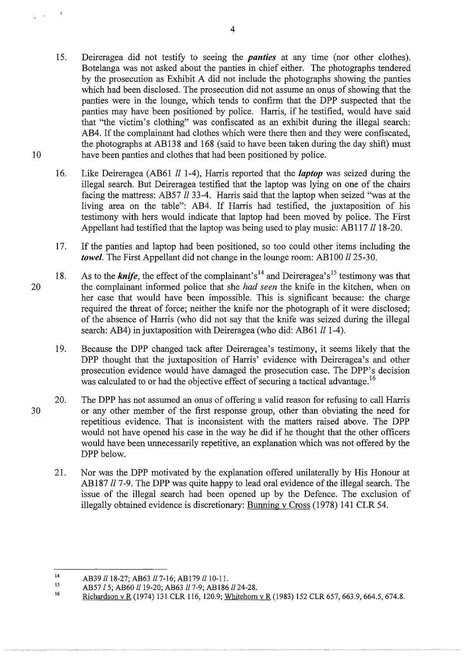- 15. Deireragea did not testify to seeing the *panties* at any time (nor other clothes). Botelanga was not asked about the panties in chief either. The photographs tendered by the prosecution as Exhibit A did not include the photographs showing the panties which had been disclosed. The prosecution did not assume an onus of showing that the panties were in the lounge, which tends to confirm that the DPP suspected that the panties may have been positioned by police. Harris, if he testified, would have said that "the victim's clothing" was confiscated as an exhibit during the illegal search: AB4. If the complainant had clothes which were there then and they were confiscated, the photographs at AB138 and 168 (said to have been taken during the day shift) must 10 have been panties and clothes that had been positioned by police.
	- 16. Like Deireragea (AB61 *ll* 1-4), Harris reported that the *laptop* was seized during the illegal search. But Deireragea testified that the laptop was lying on one of the chairs facing the mattress: AB57 *ll* 33-4. Harris said that the laptop when seized "was at the living area on the table": AB4. If Harris had testified, the juxtaposition of his testimony with hers would indicate that laptop had been moved by police. The First Appellant had testified that the laptop was being used to play music: AB117 *ll* 18-20.
	- 17. If the panties and laptop had been positioned, so too could other items including the *towel*. The First Appellant did not change in the lounge room: AB100 *ll* 25-30.
- 18. As to the *knife*, the effect of the complainant's<sup>14</sup> and Deireragea's<sup>15</sup> testimony was that 20 the complainant informed police that she *had seen* the knife in the kitchen, when on her case that would have been impossible. This is significant because: the charge required the threat of force; neither the knife nor the photograph of it were disclosed; of the absence of Harris (who did not say that the knife was seized during the illegal search: AB4) in juxtaposition with Deireragea (who did: AB61  $ll$  1-4).
	- 19. Because the DPP changed tack after Deireragea's testimony, it seems likely that the DPP thought that the juxtaposition of Harris' evidence with Deireragea's and other prosecution evidence would have damaged the prosecution case. The DPP's decision was calculated to or had the objective effect of securing a tactical advantage.<sup>16</sup>
- 20. The DPP has not assumed an onus of offering a valid reason for refusing to call Harris 30 or any other member of the first response group, other than obviating the need for repetitious evidence. That is inconsistent with the matters raised above. The DPP would not have opened his case in the way he did if he thought that the other officers would have been urmecessarily repetitive, an explanation which was not offered by the DPP below.
	- 21. Nor was the DPP motivated by the explanation offered unilaterally by His Honour at AB187 *ll* 7-9. The DPP was quite happy to lead oral evidence of the illegal search. The issue of the illegal search had been opened up by the Defence. The exclusion of illegally obtained evidence is discretionary: Burming v Cross (1978) 141 CLR 54.

<sup>14</sup>  AB39 ll 18-27; AB63 ll 7-16; AB179 ll 10-11.

<sup>15</sup>  AB57 *l* 5; AB60 !!19-20; AB63 *!!7-9;* AB 186 !!24-28.

<sup>16</sup>  Richardson v R (1974) 131 CLR 116, 120.9; Whitehorn v R (1983) 152 CLR 657, 663.9, 664.5, 674.8.